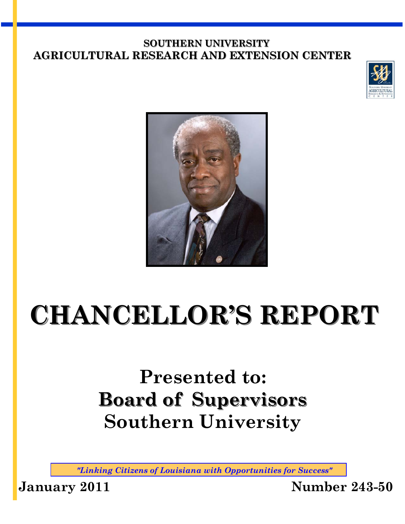#### **SOUTHERN UNIVERSITY AGRICULTURAL RESEARCH AND EXTENSION CENTER**





# **CHANCELLOR'S REPORT**

## **Presented to: Board of Supervisors Southern University**

*"Linking Citizens of Louisiana with Opportunities for Success"* 

**January 2011 Number 243-50**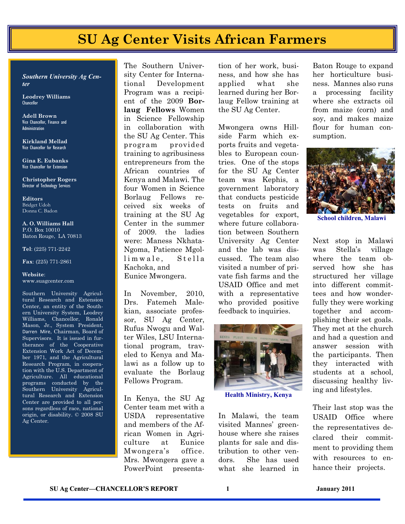## **SU Ag Center Visits African Farmers**

*Southern University Ag Center* 

**Leodrey Williams Chancellor** 

**Adell Brown** Vice Chancellor, Finance and **Administration** 

**Kirkland Mellad**  Vice Chancellor for Research

**Gina E. Eubanks**  Vice Chancellor for Extension

**Christopher Rogers** Director of Technology Services

**Editors**  Bridget Udoh Donna C. Badon

#### **A. O. Williams Hall**  P.O. Box 10010 Baton Rouge, LA 70813

**Tel**: (225) 771-2242

**Fax**: (225) 771-2861

**Website**: www.suagcenter.com

Southern University Agricultural Research and Extension Center, an entity of the Southern University System, Leodrey Williams, Chancellor, Ronald Mason, Jr., System President, Darren Mire, Chairman, Board of Supervisors. It is issued in furtherance of the Cooperative Extension Work Act of December 1971, and the Agricultural Research Program, in cooperation with the U.S. Department of Agriculture. All educational programs conducted by the Southern University Agricultural Research and Extension Center are provided to all persons regardless of race, national origin, or disability. © 2008 SU Ag Center.

The Southern University Center for International Development Program was a recipient of the 2009 **Borlaug Fellows** Women in Science Fellowship in collaboration with the SU Ag Center. This program provided training to agribusiness entrepreneurs from the African countries of Kenya and Malawi. The four Women in Science Borlaug Fellows received six weeks of training at the SU Ag Center in the summer of 2009. the ladies were: Maness Nkhata-Ngoma, Patience Mgollimwale, Stella Kachoka, and Eunice Mwongera.

In November, 2010, Drs. Fatemeh Malekian, associate professor, SU Ag Center, Rufus Nwogu and Walter Wiles, LSU International program, traveled to Kenya and Malawi as a follow up to evaluate the Borlaug Fellows Program.

In Kenya, the SU Ag Center team met with a USDA representative and members of the African Women in Agriculture at Eunice Mwongera's office. Mrs. Mwongera gave a PowerPoint presenta-

tion of her work, business, and how she has applied what she learned during her Borlaug Fellow training at the SU Ag Center.

Mwongera owns Hillside Farm which exports fruits and vegetables to European countries. One of the stops for the SU Ag Center team was Kephis, a government laboratory that conducts pesticide tests on fruits and vegetables for export, where future collaboration between Southern University Ag Center and the lab was discussed. The team also visited a number of private fish farms and the USAID Office and met with a representative who provided positive feedback to inquiries.



**Health Ministry, Kenya** 

In Malawi, the team visited Mannes' greenhouse where she raises plants for sale and distribution to other vendors. She has used what she learned in Baton Rouge to expand her horticulture business. Mannes also runs a processing facility where she extracts oil from maize (corn) and soy, and makes maize flour for human consumption.



**School children, Malawi** 

Next stop in Malawi was Stella's village where the team observed how she has structured her village into different committees and how wonderfully they were working together and accomplishing their set goals. They met at the church and had a question and answer session with the participants. Then they interacted with students at a school, discussing healthy living and lifestyles.

Their last stop was the USAID Office where the representatives declared their commitment to providing them with resources to enhance their projects.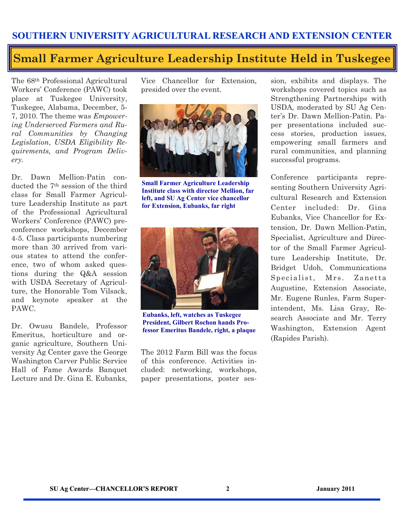#### **Small Farmer Agriculture Leadership Institute Held in Tuskegee**

The 68th Professional Agricultural Workers' Conference (PAWC) took place at Tuskegee University, Tuskegee, Alabama, December, 5- 7, 2010. The theme was *Empowering Underserved Farmers and Rural Communities by Changing Legislation*, *USDA Eligibility Requirements, and Program Delivery.* 

Dr. Dawn Mellion-Patin conducted the 7th session of the third class for Small Farmer Agriculture Leadership Institute as part of the Professional Agricultural Workers' Conference (PAWC) preconference workshops, December 4-5. Class participants numbering more than 30 arrived from various states to attend the conference, two of whom asked questions during the Q&A session with USDA Secretary of Agriculture, the Honorable Tom Vilsack, and keynote speaker at the PAWC.

Dr. Owusu Bandele, Professor Emeritus, horticulture and organic agriculture, Southern University Ag Center gave the George Washington Carver Public Service Hall of Fame Awards Banquet Lecture and Dr. Gina E. Eubanks,

Vice Chancellor for Extension, presided over the event.



**Small Farmer Agriculture Leadership Institute class with director Mellion, far left, and SU Ag Center vice chancellor for Extension, Eubanks, far right** 



**Eubanks, left, watches as Tuskegee President, Gilbert Rochon hands Professor Emeritus Bandele, right, a plaque** 

The 2012 Farm Bill was the focus of this conference. Activities included: networking, workshops, paper presentations, poster ses-

sion, exhibits and displays. The workshops covered topics such as Strengthening Partnerships with USDA, moderated by SU Ag Center's Dr. Dawn Mellion-Patin. Paper presentations included success stories, production issues, empowering small farmers and rural communities, and planning successful programs.

Conference participants representing Southern University Agricultural Research and Extension Center included: Dr. Gina Eubanks, Vice Chancellor for Extension, Dr. Dawn Mellion-Patin, Specialist, Agriculture and Director of the Small Farmer Agriculture Leadership Institute, Dr. Bridget Udoh, Communications Specialist, Mrs. Zanetta Augustine, Extension Associate, Mr. Eugene Runles, Farm Superintendent, Ms. Lisa Gray, Research Associate and Mr. Terry Washington, Extension Agent (Rapides Parish).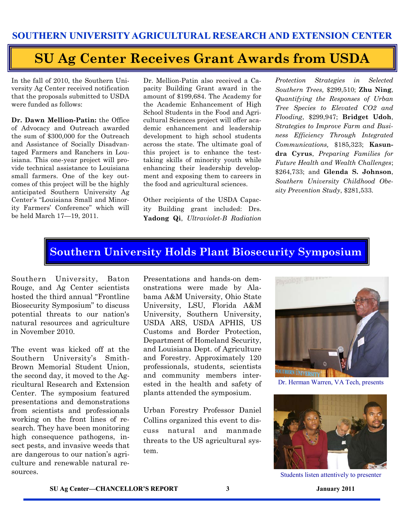## **SU Ag Center Receives Grant Awards from USDA**

In the fall of 2010, the Southern University Ag Center received notification that the proposals submitted to USDA were funded as follows:

**Dr. Dawn Mellion-Patin:** the Office of Advocacy and Outreach awarded the sum of \$300,000 for the Outreach and Assistance of Socially Disadvantaged Farmers and Ranchers in Louisiana. This one-year project will provide technical assistance to Louisiana small farmers. One of the key outcomes of this project will be the highly anticipated Southern University Ag Center's "Louisiana Small and Minority Farmers' Conference" which will be held March 17—19, 2011.

Dr. Mellion-Patin also received a Capacity Building Grant award in the amount of \$199,684. The Academy for the Academic Enhancement of High School Students in the Food and Agricultural Sciences project will offer academic enhancement and leadership development to high school students across the state. The ultimate goal of this project is to enhance the testtaking skills of minority youth while enhancing their leadership development and exposing them to careers in the food and agricultural sciences.

Other recipients of the USDA Capacity Building grant included: Drs. **Yadong Qi**, *Ultraviolet-B Radiation*  *Protection Strategies in Selected Southern Trees,* \$299,510; **Zhu Ning**, *Quantifying the Responses of Urban Tree Species to Elevated CO2 and Flooding*, \$299,947; **Bridget Udoh**, *Strategies to Improve Farm and Business Efficiency Through Integrated Communications,* \$185,323; **Kasundra Cyrus**, *Preparing Families for Future Health and Wealth Challenges*; \$264,733; and **Glenda S. Johnson**, *Southern University Childhood Obesity Prevention Study*, \$281,533.

#### **Southern University Holds Plant Biosecurity Symposium**

Southern University, Baton Rouge, and Ag Center scientists hosted the third annual "Frontline Biosecurity Symposium" to discuss potential threats to our nation's natural resources and agriculture in November 2010.

The event was kicked off at the Southern University's Smith-Brown Memorial Student Union, the second day, it moved to the Agricultural Research and Extension Center. The symposium featured presentations and demonstrations from scientists and professionals working on the front lines of research. They have been monitoring high consequence pathogens, insect pests, and invasive weeds that are dangerous to our nation's agriculture and renewable natural resources.

Presentations and hands-on demonstrations were made by Alabama A&M University, Ohio State University, LSU, Florida A&M University, Southern University, USDA ARS, USDA APHIS, US Customs and Border Protection, Department of Homeland Security, and Louisiana Dept. of Agriculture and Forestry. Approximately 120 professionals, students, scientists and community members interested in the health and safety of plants attended the symposium.

Urban Forestry Professor Daniel Collins organized this event to discuss natural and manmade threats to the US agricultural system.



Dr. Herman Warren, VA Tech, presents



Students listen attentively to presenter

**SU Ag Center—CHANCELLOR'S REPORT 3 January 2011**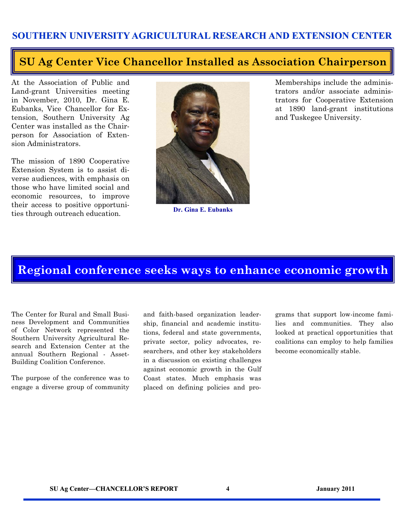#### **SU Ag Center Vice Chancellor Installed as Association Chairperson**

At the Association of Public and Land-grant Universities meeting in November, 2010, Dr. Gina E. Eubanks, Vice Chancellor for Extension, Southern University Ag Center was installed as the Chairperson for Association of Extension Administrators.

The mission of 1890 Cooperative Extension System is to assist diverse audiences, with emphasis on those who have limited social and economic resources, to improve their access to positive opportunities through outreach education.



**Dr. Gina E. Eubanks** 

Memberships include the administrators and/or associate administrators for Cooperative Extension at 1890 land-grant institutions and Tuskegee University.

#### **Regional conference seeks ways to enhance economic growth**

The Center for Rural and Small Business Development and Communities of Color Network represented the Southern University Agricultural Research and Extension Center at the annual Southern Regional - Asset-Building Coalition Conference.

The purpose of the conference was to engage a diverse group of community

and faith-based organization leadership, financial and academic institutions, federal and state governments, private sector, policy advocates, researchers, and other key stakeholders in a discussion on existing challenges against economic growth in the Gulf Coast states. Much emphasis was placed on defining policies and programs that support low-income families and communities. They also looked at practical opportunities that coalitions can employ to help families become economically stable.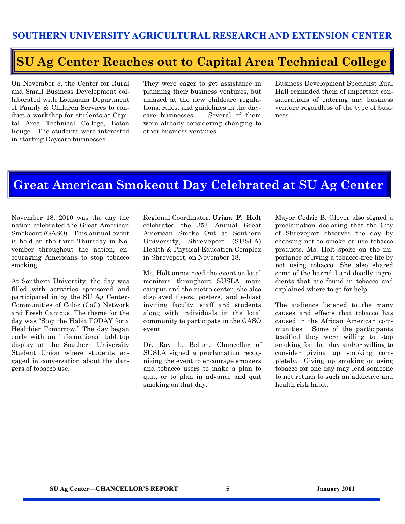#### **SU Ag Center Reaches out to Capital Area Technical College**

On November 8, the Center for Rural and Small Business Development collaborated with Louisiana Department of Family & Children Services to conduct a workshop for students at Capital Area Technical College, Baton Rouge. The students were interested in starting Daycare businesses.

They were eager to get assistance in planning their business ventures, but amazed at the new childcare regulations, rules, and guidelines in the daycare businesses. Several of them were already considering changing to other business ventures.

Business Development Specialist Eual Hall reminded them of important considerations of entering any business venture regardless of the type of business.

#### **Great American Smokeout Day Celebrated at SU Ag Center**

November 18, 2010 was the day the nation celebrated the Great American Smokeout (GASO). This annual event is held on the third Thursday in November throughout the nation, encouraging Americans to stop tobacco smoking.

At Southern University, the day was filled with activities sponsored and participated in by the SU Ag Center-Communities of Color (CoC) Network and Fresh Campus. The theme for the day was "Stop the Habit TODAY for a Healthier Tomorrow." The day began early with an informational tabletop display at the Southern University Student Union where students engaged in conversation about the dangers of tobacco use.

Regional Coordinator, **Urina F. Holt** celebrated the 35th Annual Great American Smoke Out at Southern University, Shreveport (SUSLA) Health & Physical Education Complex in Shreveport, on November 18.

Ms. Holt announced the event on local monitors throughout SUSLA main campus and the metro center; she also displayed flyers, posters, and e-blast inviting faculty, staff and students along with individuals in the local community to participate in the GASO event.

Dr. Ray L. Belton, Chancellor of SUSLA signed a proclamation recognizing the event to encourage smokers and tobacco users to make a plan to quit, or to plan in advance and quit smoking on that day.

Mayor Cedric B. Glover also signed a proclamation declaring that the City of Shreveport observes the day by choosing not to smoke or use tobacco products. Ms. Holt spoke on the importance of living a tobacco-free life by not using tobacco. She also shared some of the harmful and deadly ingredients that are found in tobacco and explained where to go for help.

The audience listened to the many causes and effects that tobacco has caused in the African American communities. Some of the participants testified they were willing to stop smoking for that day and/or willing to consider giving up smoking completely. Giving up smoking or using tobacco for one day may lead someone to not return to such an addictive and health risk habit.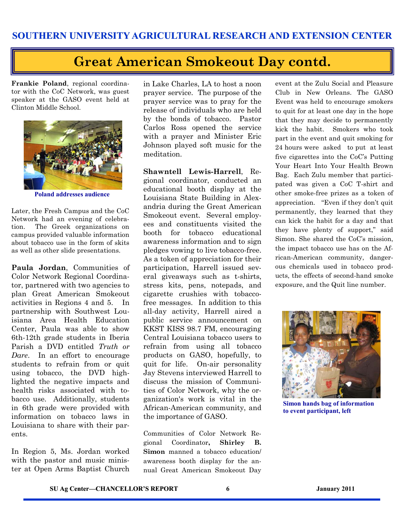#### **Great American Smokeout Day contd.**

**Frankie Poland**, regional coordinator with the CoC Network, was guest speaker at the GASO event held at Clinton Middle School.



**Poland addresses audience** 

Later, the Fresh Campus and the CoC Network had an evening of celebration. The Greek organizations on campus provided valuable information about tobacco use in the form of skits as well as other slide presentations.

**Paula Jordan**, Communities of Color Network Regional Coordinator, partnered with two agencies to plan Great American Smokeout activities in Regions 4 and 5. In partnership with Southwest Louisiana Area Health Education Center, Paula was able to show 6th-12th grade students in Iberia Parish a DVD entitled *Truth or Dare*. In an effort to encourage students to refrain from or quit using tobacco, the DVD highlighted the negative impacts and health risks associated with tobacco use. Additionally, students in 6th grade were provided with information on tobacco laws in Louisiana to share with their parents.

In Region 5, Ms. Jordan worked with the pastor and music minister at Open Arms Baptist Church

in Lake Charles, LA to host a noon prayer service. The purpose of the prayer service was to pray for the release of individuals who are held by the bonds of tobacco. Pastor Carlos Ross opened the service with a prayer and Minister Eric Johnson played soft music for the meditation.

**Shawntell Lewis-Harrell**, Regional coordinator, conducted an educational booth display at the Louisiana State Building in Alexandria during the Great American Smokeout event. Several employees and constituents visited the booth for tobacco educational awareness information and to sign pledges vowing to live tobacco-free. As a token of appreciation for their participation, Harrell issued several giveaways such as t-shirts, stress kits, pens, notepads, and cigarette crushies with tobaccofree messages. In addition to this all-day activity, Harrell aired a public service announcement on KKST KISS 98.7 FM, encouraging Central Louisiana tobacco users to refrain from using all tobacco products on GASO, hopefully, to quit for life. On-air personality Jay Stevens interviewed Harrell to discuss the mission of Communities of Color Network, why the organization's work is vital in the African-American community, and the importance of GASO.

Communities of Color Network Regional Coordinator**, Shirley B. Simon** manned a tobacco education/ awareness booth display for the annual Great American Smokeout Day event at the Zulu Social and Pleasure Club in New Orleans. The GASO Event was held to encourage smokers to quit for at least one day in the hope that they may decide to permanently kick the habit. Smokers who took part in the event and quit smoking for 24 hours were asked to put at least five cigarettes into the CoC's Putting Your Heart Into Your Health Brown Bag. Each Zulu member that participated was given a CoC T-shirt and other smoke-free prizes as a token of appreciation. "Even if they don't quit permanently, they learned that they can kick the habit for a day and that they have plenty of support," said Simon. She shared the CoC's mission, the impact tobacco use has on the African-American community, dangerous chemicals used in tobacco products, the effects of second-hand smoke exposure, and the Quit line number.



**Simon hands bag of information to event participant, left**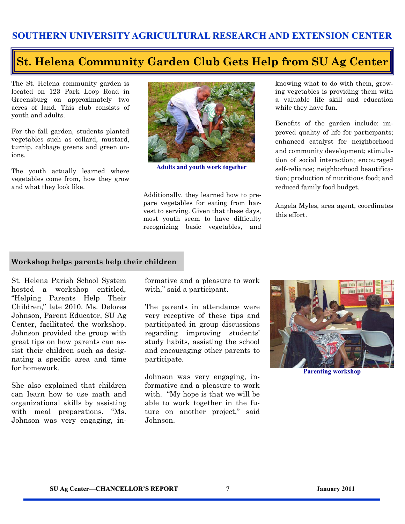#### **St. Helena Community Garden Club Gets Help from SU Ag Center**

The St. Helena community garden is located on 123 Park Loop Road in Greensburg on approximately two acres of land. This club consists of youth and adults.

For the fall garden, students planted vegetables such as collard, mustard, turnip, cabbage greens and green onions.

The youth actually learned where vegetables come from, how they grow and what they look like.



**Adults and youth work together** 

Additionally, they learned how to prepare vegetables for eating from harvest to serving. Given that these days, most youth seem to have difficulty recognizing basic vegetables, and knowing what to do with them, growing vegetables is providing them with a valuable life skill and education while they have fun.

Benefits of the garden include: improved quality of life for participants; enhanced catalyst for neighborhood and community development; stimulation of social interaction; encouraged self-reliance; neighborhood beautification; production of nutritious food; and reduced family food budget.

Angela Myles, area agent, coordinates this effort.

#### **Workshop helps parents help their children**

St. Helena Parish School System hosted a workshop entitled, "Helping Parents Help Their Children," late 2010. Ms. Delores Johnson, Parent Educator, SU Ag Center, facilitated the workshop. Johnson provided the group with great tips on how parents can assist their children such as designating a specific area and time for homework.

She also explained that children can learn how to use math and organizational skills by assisting with meal preparations. "Ms. Johnson was very engaging, informative and a pleasure to work with," said a participant.

The parents in attendance were very receptive of these tips and participated in group discussions regarding improving students' study habits, assisting the school and encouraging other parents to participate.

Johnson was very engaging, informative and a pleasure to work with. "My hope is that we will be able to work together in the future on another project," said Johnson.



**Parenting workshop**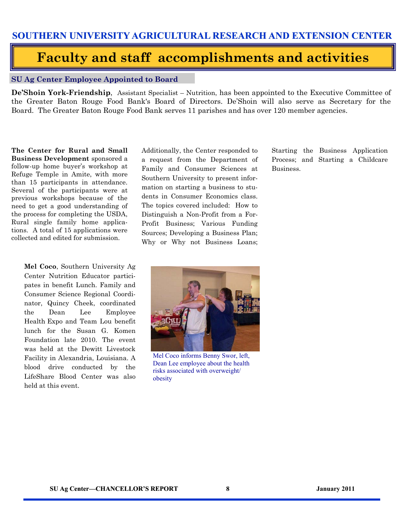#### **Faculty and staff accomplishments and activities**

#### **SU Ag Center Employee Appointed to Board**

**De'Shoin York-Friendship**, Assistant Specialist – Nutrition, has been appointed to the Executive Committee of the Greater Baton Rouge Food Bank's Board of Directors. De'Shoin will also serve as Secretary for the Board. The Greater Baton Rouge Food Bank serves 11 parishes and has over 120 member agencies.

**The Center for Rural and Small Business Development** sponsored a follow-up home buyer's workshop at Refuge Temple in Amite, with more than 15 participants in attendance. Several of the participants were at previous workshops because of the need to get a good understanding of the process for completing the USDA, Rural single family home applications. A total of 15 applications were collected and edited for submission.

> **Mel Coco**, Southern University Ag Center Nutrition Educator participates in benefit Lunch. Family and Consumer Science Regional Coordinator, Quincy Cheek, coordinated the Dean Lee Employee Health Expo and Team Lou benefit lunch for the Susan G. Komen Foundation late 2010. The event was held at the Dewitt Livestock Facility in Alexandria, Louisiana. A blood drive conducted by the LifeShare Blood Center was also held at this event.

Additionally, the Center responded to a request from the Department of Family and Consumer Sciences at Southern University to present information on starting a business to students in Consumer Economics class. The topics covered included: How to Distinguish a Non-Profit from a For-Profit Business; Various Funding Sources; Developing a Business Plan; Why or Why not Business Loans; Starting the Business Application Process; and Starting a Childcare Business.



Mel Coco informs Benny Swor, left, Dean Lee employee about the health risks associated with overweight/ obesity